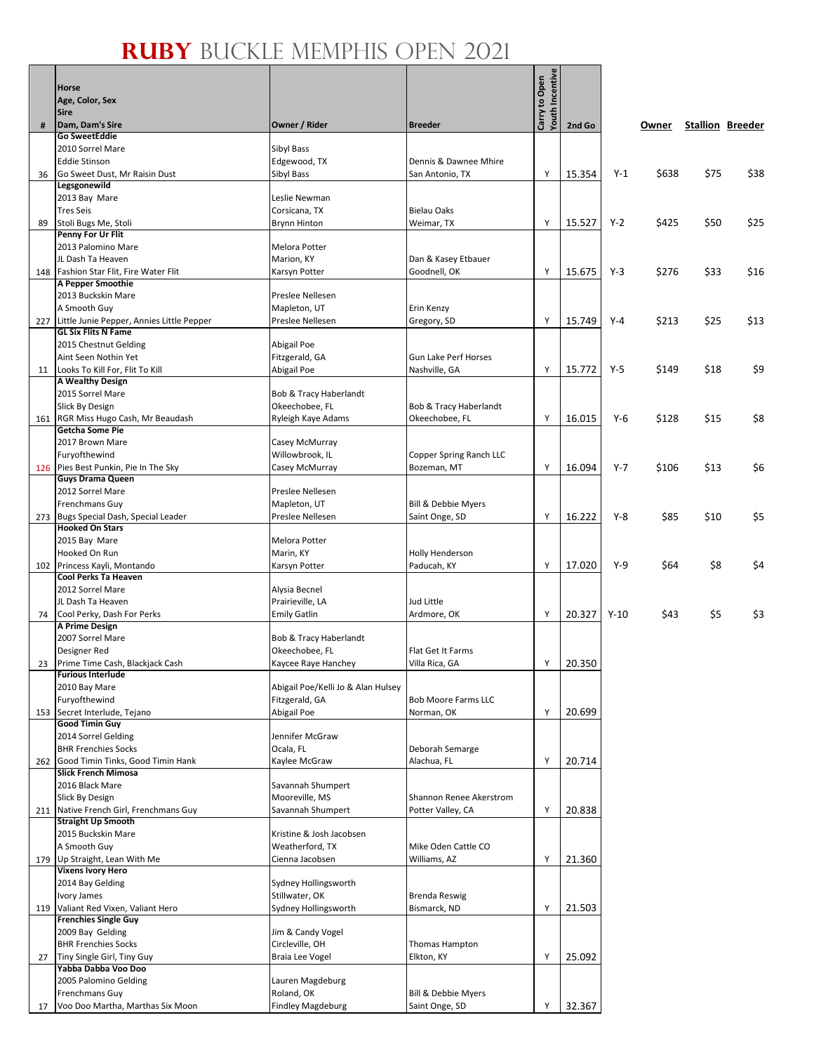## **Ruby** Buckle Memphis Open 2021

ு உ Т

|     | <b>Horse</b><br>Age, Color, Sex<br><b>Sire</b>                      |                                        |                                              | Youth Incentive<br>Carry to Open |        |         |       |      |                         |
|-----|---------------------------------------------------------------------|----------------------------------------|----------------------------------------------|----------------------------------|--------|---------|-------|------|-------------------------|
| #   | Dam, Dam's Sire                                                     | Owner / Rider                          | <b>Breeder</b>                               |                                  | 2nd Go |         | Owner |      | <b>Stallion Breeder</b> |
|     | <b>Go SweetEddie</b><br>2010 Sorrel Mare                            | Sibyl Bass                             |                                              |                                  |        |         |       |      |                         |
|     | <b>Eddie Stinson</b>                                                | Edgewood, TX                           | Dennis & Dawnee Mhire                        |                                  |        |         |       |      |                         |
| 36  | Go Sweet Dust, Mr Raisin Dust<br>Legsgonewild                       | Sibyl Bass                             | San Antonio, TX                              | Y                                | 15.354 | $Y-1$   | \$638 | \$75 | \$38                    |
|     | 2013 Bay Mare                                                       | Leslie Newman                          |                                              |                                  |        |         |       |      |                         |
|     | <b>Tres Seis</b>                                                    | Corsicana, TX                          | <b>Bielau Oaks</b>                           |                                  |        |         |       |      |                         |
| 89  | Stoli Bugs Me, Stoli<br>Penny For Ur Flit                           | <b>Brynn Hinton</b>                    | Weimar, TX                                   | Y                                | 15.527 | $Y-2$   | \$425 | \$50 | \$25                    |
|     | 2013 Palomino Mare                                                  | Melora Potter                          |                                              |                                  |        |         |       |      |                         |
|     | JL Dash Ta Heaven                                                   | Marion, KY                             | Dan & Kasey Etbauer                          |                                  |        |         |       |      |                         |
|     | 148   Fashion Star Flit, Fire Water Flit                            | Karsyn Potter                          | Goodnell, OK                                 | Y                                | 15.675 | $Y-3$   | \$276 | \$33 | \$16                    |
|     | A Pepper Smoothie<br>2013 Buckskin Mare                             |                                        |                                              |                                  |        |         |       |      |                         |
|     | A Smooth Guy                                                        | Preslee Nellesen<br>Mapleton, UT       | Erin Kenzy                                   |                                  |        |         |       |      |                         |
|     | 227 Little Junie Pepper, Annies Little Pepper                       | Preslee Nellesen                       | Gregory, SD                                  | Y                                | 15.749 | $Y-4$   | \$213 | \$25 | \$13                    |
|     | <b>GL Six Flits N Fame</b>                                          |                                        |                                              |                                  |        |         |       |      |                         |
|     | 2015 Chestnut Gelding                                               | Abigail Poe                            |                                              |                                  |        |         |       |      |                         |
|     | Aint Seen Nothin Yet<br>11 Looks To Kill For, Flit To Kill          | Fitzgerald, GA<br>Abigail Poe          | <b>Gun Lake Perf Horses</b><br>Nashville, GA | Y                                | 15.772 | $Y-5$   | \$149 | \$18 | \$9                     |
|     | <b>A Wealthy Design</b>                                             |                                        |                                              |                                  |        |         |       |      |                         |
|     | 2015 Sorrel Mare                                                    | Bob & Tracy Haberlandt                 |                                              |                                  |        |         |       |      |                         |
|     | Slick By Design                                                     | Okeechobee, FL                         | Bob & Tracy Haberlandt                       |                                  |        |         |       |      |                         |
|     | 161 RGR Miss Hugo Cash, Mr Beaudash<br><b>Getcha Some Pie</b>       | Ryleigh Kaye Adams                     | Okeechobee, FL                               | Y                                | 16.015 | $Y-6$   | \$128 | \$15 | \$8                     |
|     | 2017 Brown Mare                                                     | Casey McMurray                         |                                              |                                  |        |         |       |      |                         |
|     | Furyofthewind                                                       | Willowbrook, IL                        | Copper Spring Ranch LLC                      |                                  |        |         |       |      |                         |
| 126 | Pies Best Punkin, Pie In The Sky<br><b>Guys Drama Queen</b>         | Casey McMurray                         | Bozeman, MT                                  | Y                                | 16.094 | $Y - 7$ | \$106 | \$13 | \$6                     |
|     | 2012 Sorrel Mare                                                    | Preslee Nellesen                       |                                              |                                  |        |         |       |      |                         |
|     | Frenchmans Guy                                                      | Mapleton, UT                           | Bill & Debbie Myers                          |                                  |        |         |       |      |                         |
| 273 | Bugs Special Dash, Special Leader                                   | Preslee Nellesen                       | Saint Onge, SD                               | Y                                | 16.222 | $Y-8$   | \$85  | \$10 | \$5                     |
|     | <b>Hooked On Stars</b><br>2015 Bay Mare                             | Melora Potter                          |                                              |                                  |        |         |       |      |                         |
|     | Hooked On Run                                                       | Marin, KY                              | <b>Holly Henderson</b>                       |                                  |        |         |       |      |                         |
|     | 102 Princess Kayli, Montando                                        | Karsyn Potter                          | Paducah, KY                                  | Υ                                | 17.020 | $Y-9$   | \$64  | \$8  | \$4                     |
|     | Cool Perks Ta Heaven                                                |                                        |                                              |                                  |        |         |       |      |                         |
|     | 2012 Sorrel Mare<br>JL Dash Ta Heaven                               | Alysia Becnel<br>Prairieville, LA      | Jud Little                                   |                                  |        |         |       |      |                         |
|     | 74 Cool Perky, Dash For Perks                                       | <b>Emily Gatlin</b>                    | Ardmore, OK                                  | Y                                | 20.327 | $Y-10$  | \$43  | \$5  | \$3                     |
|     | A Prime Design                                                      |                                        |                                              |                                  |        |         |       |      |                         |
|     | 2007 Sorrel Mare                                                    | Bob & Tracy Haberlandt                 |                                              |                                  |        |         |       |      |                         |
|     | Designer Red<br>23 Prime Time Cash, Blackjack Cash                  | Okeechobee, FL<br>Kaycee Raye Hanchey  | Flat Get It Farms<br>Villa Rica, GA          | Υ                                | 20.350 |         |       |      |                         |
|     | <b>Furious Interlude</b>                                            |                                        |                                              |                                  |        |         |       |      |                         |
|     | 2010 Bay Mare                                                       | Abigail Poe/Kelli Jo & Alan Hulsey     |                                              |                                  |        |         |       |      |                         |
|     | Furyofthewind<br>153 Secret Interlude, Tejano                       | Fitzgerald, GA<br>Abigail Poe          | <b>Bob Moore Farms LLC</b><br>Norman, OK     | Y                                | 20.699 |         |       |      |                         |
|     | <b>Good Timin Guy</b>                                               |                                        |                                              |                                  |        |         |       |      |                         |
|     | 2014 Sorrel Gelding                                                 | Jennifer McGraw                        |                                              |                                  |        |         |       |      |                         |
|     | <b>BHR Frenchies Socks</b>                                          | Ocala, FL                              | Deborah Semarge                              |                                  |        |         |       |      |                         |
|     | 262 Good Timin Tinks, Good Timin Hank<br><b>Slick French Mimosa</b> | Kaylee McGraw                          | Alachua, FL                                  | Υ                                | 20.714 |         |       |      |                         |
|     | 2016 Black Mare                                                     | Savannah Shumpert                      |                                              |                                  |        |         |       |      |                         |
|     | Slick By Design                                                     | Mooreville, MS                         | Shannon Renee Akerstrom                      |                                  |        |         |       |      |                         |
|     | 211 Native French Girl, Frenchmans Guy<br><b>Straight Up Smooth</b> | Savannah Shumpert                      | Potter Valley, CA                            | Y                                | 20.838 |         |       |      |                         |
|     | 2015 Buckskin Mare                                                  | Kristine & Josh Jacobsen               |                                              |                                  |        |         |       |      |                         |
|     | A Smooth Guy                                                        | Weatherford, TX                        | Mike Oden Cattle CO                          |                                  |        |         |       |      |                         |
|     | 179 Up Straight, Lean With Me                                       | Cienna Jacobsen                        | Williams, AZ                                 | Y                                | 21.360 |         |       |      |                         |
|     | <b>Vixens Ivory Hero</b><br>2014 Bay Gelding                        | Sydney Hollingsworth                   |                                              |                                  |        |         |       |      |                         |
|     | Ivory James                                                         | Stillwater, OK                         | <b>Brenda Reswig</b>                         |                                  |        |         |       |      |                         |
|     | 119 Valiant Red Vixen, Valiant Hero                                 | Sydney Hollingsworth                   | Bismarck, ND                                 | Y                                | 21.503 |         |       |      |                         |
|     | <b>Frenchies Single Guy</b>                                         |                                        |                                              |                                  |        |         |       |      |                         |
|     | 2009 Bay Gelding<br><b>BHR Frenchies Socks</b>                      | Jim & Candy Vogel<br>Circleville, OH   | Thomas Hampton                               |                                  |        |         |       |      |                         |
| 27  | Tiny Single Girl, Tiny Guy                                          | Braia Lee Vogel                        | Elkton, KY                                   | Y                                | 25.092 |         |       |      |                         |
|     | Yabba Dabba Voo Doo                                                 |                                        |                                              |                                  |        |         |       |      |                         |
|     | 2005 Palomino Gelding                                               | Lauren Magdeburg                       |                                              |                                  |        |         |       |      |                         |
| 17  | Frenchmans Guy<br>Voo Doo Martha, Marthas Six Moon                  | Roland, OK<br><b>Findley Magdeburg</b> | Bill & Debbie Myers<br>Saint Onge, SD        | Y                                | 32.367 |         |       |      |                         |
|     |                                                                     |                                        |                                              |                                  |        |         |       |      |                         |